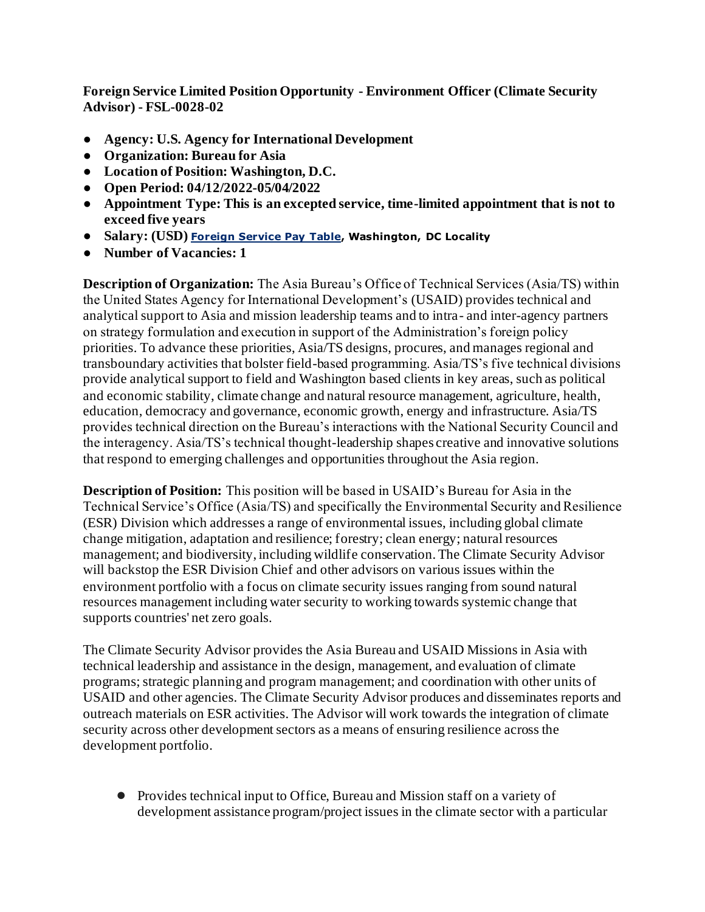**Foreign Service Limited Position Opportunity - Environment Officer (Climate Security Advisor) - FSL-0028-02**

- **Agency: U.S. Agency for International Development**
- **Organization: Bureau for Asia**
- **Location of Position: Washington, D.C.**
- **Open Period: 04/12/2022-05/04/2022**
- **Appointment Type: This is an excepted service, time-limited appointment that is not to exceed five years**
- **Salary: (USD) [Foreign Service Pay Table,](https://drive.google.com/file/d/14nzCEbX_zAeWTMfaeSdo_XdtZYdeg4k6/view?usp=sharing) Washington, DC Locality**
- **Number of Vacancies: 1**

**Description of Organization:** The Asia Bureau's Office of Technical Services (Asia/TS) within the United States Agency for International Development's (USAID) provides technical and analytical support to Asia and mission leadership teams and to intra- and inter-agency partners on strategy formulation and execution in support of the Administration's foreign policy priorities. To advance these priorities, Asia/TS designs, procures, and manages regional and transboundary activities that bolster field-based programming. Asia/TS's five technical divisions provide analytical support to field and Washington based clients in key areas, such as political and economic stability, climate change and natural resource management, agriculture, health, education, democracy and governance, economic growth, energy and infrastructure. Asia/TS provides technical direction on the Bureau's interactions with the National Security Council and the interagency. Asia/TS's technical thought-leadership shapes creative and innovative solutions that respond to emerging challenges and opportunities throughout the Asia region.

**Description of Position:** This position will be based in USAID's Bureau for Asia in the Technical Service's Office (Asia/TS) and specifically the Environmental Security and Resilience (ESR) Division which addresses a range of environmental issues, including global climate change mitigation, adaptation and resilience; forestry; clean energy; natural resources management; and biodiversity, including wildlife conservation. The Climate Security Advisor will backstop the ESR Division Chief and other advisors on various issues within the environment portfolio with a focus on climate security issues ranging from sound natural resources management including water security to working towards systemic change that supports countries' net zero goals.

The Climate Security Advisor provides the Asia Bureau and USAID Missions in Asia with technical leadership and assistance in the design, management, and evaluation of climate programs; strategic planning and program management; and coordination with other units of USAID and other agencies. The Climate Security Advisor produces and disseminates reports and outreach materials on ESR activities. The Advisor will work towards the integration of climate security across other development sectors as a means of ensuring resilience across the development portfolio.

● Provides technical input to Office, Bureau and Mission staff on a variety of development assistance program/project issues in the climate sector with a particular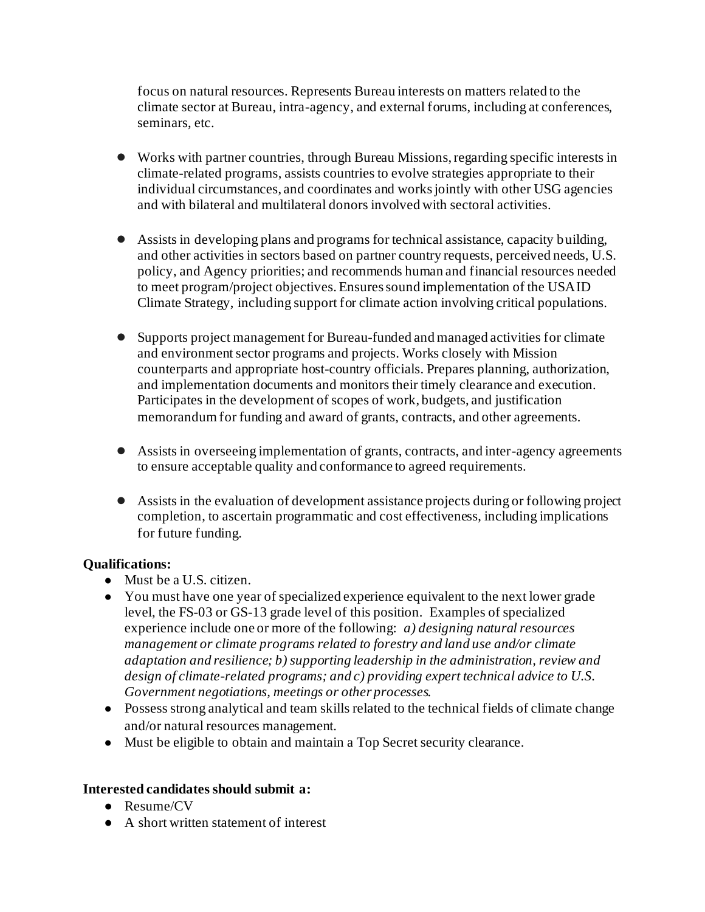focus on natural resources. Represents Bureau interests on matters related to the climate sector at Bureau, intra-agency, and external forums, including at conferences, seminars, etc.

- Works with partner countries, through Bureau Missions, regarding specific interests in climate-related programs, assists countries to evolve strategies appropriate to their individual circumstances, and coordinates and works jointly with other USG agencies and with bilateral and multilateral donors involved with sectoral activities.
- Assists in developing plans and programs for technical assistance, capacity building, and other activities in sectors based on partner country requests, perceived needs, U.S. policy, and Agency priorities; and recommends human and financial resources needed to meet program/project objectives. Ensures sound implementation of the USAID Climate Strategy, including support for climate action involving critical populations.
- Supports project management for Bureau-funded and managed activities for climate and environment sector programs and projects. Works closely with Mission counterparts and appropriate host-country officials. Prepares planning, authorization, and implementation documents and monitors their timely clearance and execution. Participates in the development of scopes of work, budgets, and justification memorandum for funding and award of grants, contracts, and other agreements.
- Assists in overseeing implementation of grants, contracts, and inter-agency agreements to ensure acceptable quality and conformance to agreed requirements.
- Assists in the evaluation of development assistance projects during or following project completion, to ascertain programmatic and cost effectiveness, including implications for future funding.

## **Qualifications:**

- Must be a U.S. citizen.
- You must have one year of specialized experience equivalent to the next lower grade level, the FS-03 or GS-13 grade level of this position. Examples of specialized experience include one or more of the following: *a) designing natural resources management or climate programs related to forestry and land use and/or climate adaptation and resilience; b) supporting leadership in the administration, review and design of climate-related programs; and c) providing expert technical advice to U.S. Government negotiations, meetings or other processes.*
- Possess strong analytical and team skills related to the technical fields of climate change and/or natural resources management.
- Must be eligible to obtain and maintain a Top Secret security clearance.

## **Interested candidates should submit a:**

- Resume/CV
- A short written statement of interest